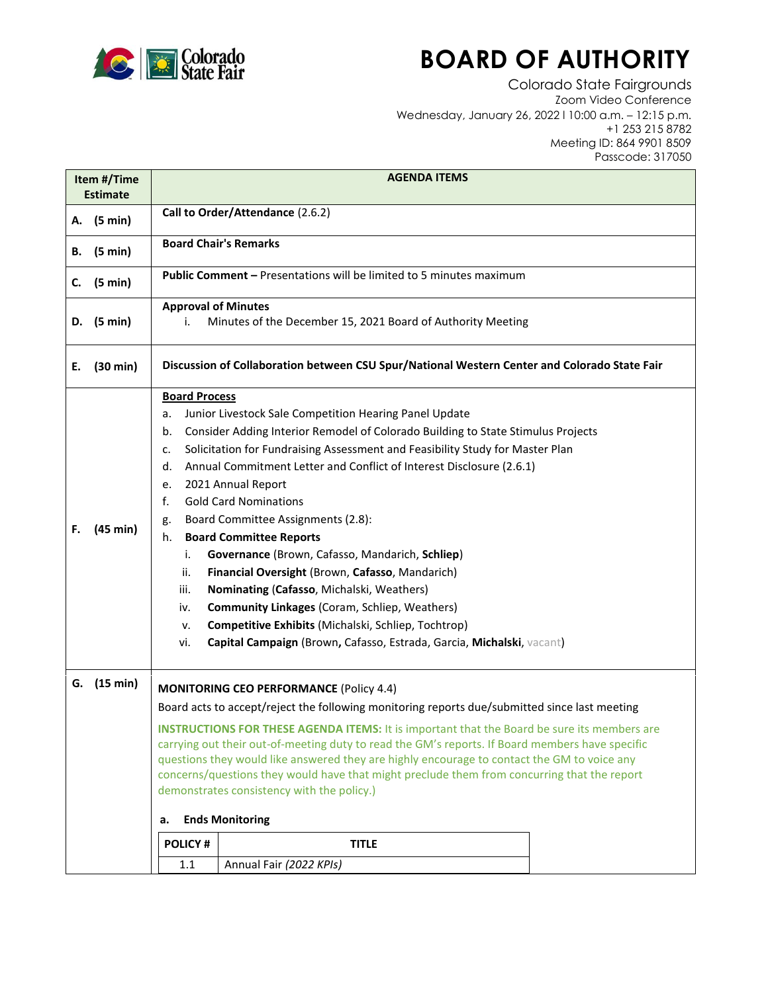

## **BOARD OF AUTHORITY**

Colorado State Fairgrounds Zoom Video Conference Wednesday, January 26, 2022 l 10:00 a.m. – 12:15 p.m. +1 253 215 8782 Meeting ID: 864 9901 8509 Passcode: 317050

| Item #/Time<br><b>Estimate</b> |          | <b>AGENDA ITEMS</b>                                                                                                                                                                                                                                                                                                                                                                                                                                                                                                                                                                                                                                                                                                                                                                                                                                                                           |  |  |
|--------------------------------|----------|-----------------------------------------------------------------------------------------------------------------------------------------------------------------------------------------------------------------------------------------------------------------------------------------------------------------------------------------------------------------------------------------------------------------------------------------------------------------------------------------------------------------------------------------------------------------------------------------------------------------------------------------------------------------------------------------------------------------------------------------------------------------------------------------------------------------------------------------------------------------------------------------------|--|--|
| (5 min)<br>А.                  |          | Call to Order/Attendance (2.6.2)                                                                                                                                                                                                                                                                                                                                                                                                                                                                                                                                                                                                                                                                                                                                                                                                                                                              |  |  |
| (5 min)<br>В.                  |          | <b>Board Chair's Remarks</b>                                                                                                                                                                                                                                                                                                                                                                                                                                                                                                                                                                                                                                                                                                                                                                                                                                                                  |  |  |
| C.                             | (5 min)  | <b>Public Comment - Presentations will be limited to 5 minutes maximum</b>                                                                                                                                                                                                                                                                                                                                                                                                                                                                                                                                                                                                                                                                                                                                                                                                                    |  |  |
| D.                             | (5 min)  | <b>Approval of Minutes</b><br>Minutes of the December 15, 2021 Board of Authority Meeting<br>i.                                                                                                                                                                                                                                                                                                                                                                                                                                                                                                                                                                                                                                                                                                                                                                                               |  |  |
| Е.                             | (30 min) | Discussion of Collaboration between CSU Spur/National Western Center and Colorado State Fair                                                                                                                                                                                                                                                                                                                                                                                                                                                                                                                                                                                                                                                                                                                                                                                                  |  |  |
| F.                             | (45 min) | <b>Board Process</b><br>Junior Livestock Sale Competition Hearing Panel Update<br>a.<br>Consider Adding Interior Remodel of Colorado Building to State Stimulus Projects<br>b.<br>Solicitation for Fundraising Assessment and Feasibility Study for Master Plan<br>c.<br>Annual Commitment Letter and Conflict of Interest Disclosure (2.6.1)<br>d.<br>2021 Annual Report<br>е.<br>f.<br><b>Gold Card Nominations</b><br>Board Committee Assignments (2.8):<br>g.<br><b>Board Committee Reports</b><br>h.<br>Governance (Brown, Cafasso, Mandarich, Schliep)<br>i.<br>Financial Oversight (Brown, Cafasso, Mandarich)<br>ii.<br>Nominating (Cafasso, Michalski, Weathers)<br>iii.<br><b>Community Linkages (Coram, Schliep, Weathers)</b><br>iv.<br>Competitive Exhibits (Michalski, Schliep, Tochtrop)<br>ν.<br>Capital Campaign (Brown, Cafasso, Estrada, Garcia, Michalski, vacant)<br>vi. |  |  |
| G.                             | (15 min) | <b>MONITORING CEO PERFORMANCE (Policy 4.4)</b><br>Board acts to accept/reject the following monitoring reports due/submitted since last meeting<br><b>INSTRUCTIONS FOR THESE AGENDA ITEMS:</b> It is important that the Board be sure its members are<br>carrying out their out-of-meeting duty to read the GM's reports. If Board members have specific<br>questions they would like answered they are highly encourage to contact the GM to voice any<br>concerns/questions they would have that might preclude them from concurring that the report<br>demonstrates consistency with the policy.)<br><b>Ends Monitoring</b><br>а.                                                                                                                                                                                                                                                          |  |  |
|                                |          | <b>POLICY#</b><br><b>TITLE</b>                                                                                                                                                                                                                                                                                                                                                                                                                                                                                                                                                                                                                                                                                                                                                                                                                                                                |  |  |
|                                |          | 1.1<br>Annual Fair (2022 KPIs)                                                                                                                                                                                                                                                                                                                                                                                                                                                                                                                                                                                                                                                                                                                                                                                                                                                                |  |  |